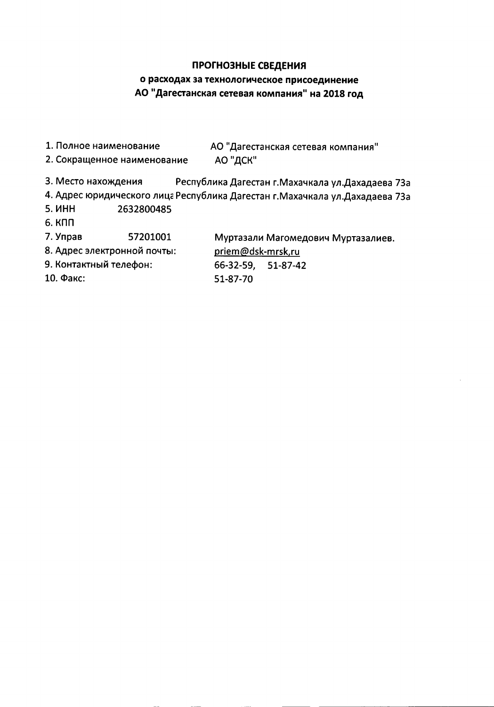## ПРОГНОЗНЫЕ СВЕДЕНИЯ

# о расходах за технологическое присоединение АО "Дагестанская сетевая компания" на 2018 год

- 1. Полное наименование АО "Дагестанская сетевая компания"
- 2. Сокращенное наименование АО "ДСК"
- 3. Место нахождения Республика Дагестан г. Махачкала ул. Дахадаева 73а
- 4. Адрес юридического лица Республика Дагестан г. Махачкала ул. Дахадаева 73а
- **5. ИНН** 2632800485
- 6. КПП
- 7. Управ 57201001

8. Адрес электронной почты:

9. Контактный телефон:

10. Факс:

Муртазали Магомедович Муртазалиев.

priem@dsk-mrsk,ru 66-32-59.  $51 - 87 - 42$ 51-87-70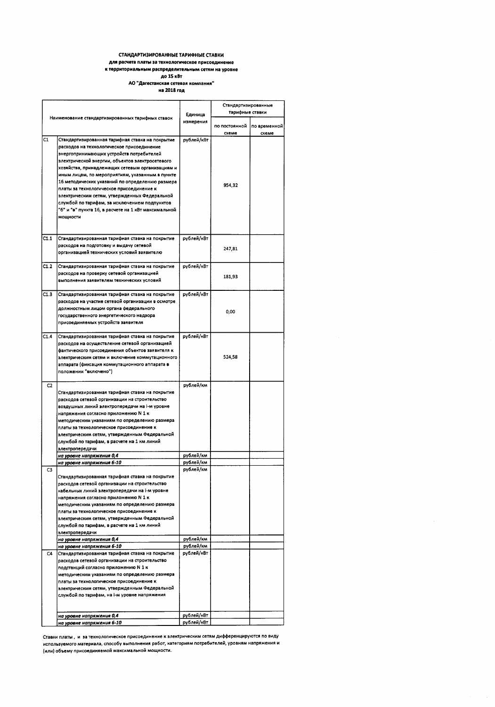#### СТАНДАРТИЗИРОВАННЫЕ ТАРИФНЫЕ СТАВКИ для расчета платы за технологическое присоединение

#### к территориальным распределительным сетям на уровне

. . . .<br>до 15 кВт АО "Дагестанская сетевая компания"

на 2018 год

| Наименование стандартизированных тарифных ставок |                                                                                                                                                                                                                                                  | Единица                | Стандартизированные<br>тарифные ставки |              |  |
|--------------------------------------------------|--------------------------------------------------------------------------------------------------------------------------------------------------------------------------------------------------------------------------------------------------|------------------------|----------------------------------------|--------------|--|
|                                                  |                                                                                                                                                                                                                                                  | измерения              | по постоянной                          | по временной |  |
| C1                                               | Стандартизированная тарифная ставка на покрытие                                                                                                                                                                                                  | рублей/кВт             | схеме                                  | схеме        |  |
|                                                  | расходов на технологическое присоединение<br>энергопринимающих устройств потребителей<br>электрической энергии, объектов электросетевого<br>хозяйства, принадлежащих сетевым организациям и                                                      |                        |                                        |              |  |
|                                                  | иным лицам, по мероприятиям, указанным в пункте<br>16 методических указаний по определению размера<br>платы за технологическое присоединение к<br>электрическим сетям, утвержденных Федеральной<br>службой по тарифам, за исключением подпунктов |                        | 954,32                                 |              |  |
|                                                  | "6" и "в" пункта 16, в расчете на 1 кВт максимальной<br>мошности                                                                                                                                                                                 |                        |                                        |              |  |
| C1.1                                             | Стандартизированная тарифная ставка на покрытие                                                                                                                                                                                                  | рублей/кВт             |                                        |              |  |
|                                                  | расходов на подготовку и выдачу сетевой<br>организацией технических условий заявителю                                                                                                                                                            |                        | 247,81                                 |              |  |
| C1.2                                             | Стандартизированная тарифная ставка на покрытие                                                                                                                                                                                                  | рублей/кВт             |                                        |              |  |
|                                                  | расходов на проверку сетевой организацией<br>выполнения заявителем технических условий                                                                                                                                                           |                        | 181,93                                 |              |  |
| C1.3                                             | Стандартизированная тарифная ставка на покрытие                                                                                                                                                                                                  | рублей/кВт             |                                        |              |  |
|                                                  | расходов на участие сетевой организации в осмотре                                                                                                                                                                                                |                        |                                        |              |  |
|                                                  | должностным лицом органа федерального                                                                                                                                                                                                            |                        | 0,00                                   |              |  |
|                                                  | государственного энергетического надзора<br>присоединяемых устройств заявителя                                                                                                                                                                   |                        |                                        |              |  |
| C1.4                                             | Стандартизированная тарифная ставка на покрытие                                                                                                                                                                                                  | рублей/кВт             |                                        |              |  |
|                                                  | расходов на осуществление сетевой организацией                                                                                                                                                                                                   |                        |                                        |              |  |
|                                                  | фактического присоединения объектов заявителя к                                                                                                                                                                                                  |                        | 524,58                                 |              |  |
|                                                  | электрическим сетям и включение коммутационного<br>аппарата (фиксация коммутационного аппарата в                                                                                                                                                 |                        |                                        |              |  |
|                                                  | положении "включено")                                                                                                                                                                                                                            |                        |                                        |              |  |
|                                                  |                                                                                                                                                                                                                                                  |                        |                                        |              |  |
| C2                                               |                                                                                                                                                                                                                                                  | рублей/км              |                                        |              |  |
|                                                  | Стандартизированная тарифная ставка на покрытие                                                                                                                                                                                                  |                        |                                        |              |  |
|                                                  | расходов сетевой организации на строительство<br>воздушных линий электропередачи на і-м уровне                                                                                                                                                   |                        |                                        |              |  |
|                                                  | напряжения согласно приложению N 1 к                                                                                                                                                                                                             |                        |                                        |              |  |
|                                                  | методическим указаниям по определению размера                                                                                                                                                                                                    |                        |                                        |              |  |
|                                                  | платы за технологическое присоединение к                                                                                                                                                                                                         |                        |                                        |              |  |
|                                                  | электрическим сетям, үтвержденным Федеральной                                                                                                                                                                                                    |                        |                                        |              |  |
|                                                  | службой по тарифам, в расчете на 1 км линий                                                                                                                                                                                                      |                        |                                        |              |  |
|                                                  | электропередачи                                                                                                                                                                                                                                  |                        |                                        |              |  |
|                                                  | на уровне напряжения 0,4<br>на уровне напряжения 6-10                                                                                                                                                                                            | рублей/км<br>рублей/км |                                        |              |  |
| CЗ                                               |                                                                                                                                                                                                                                                  | рублей/км              |                                        |              |  |
|                                                  | Стандартизированная тарифная ставка на покрытие                                                                                                                                                                                                  |                        |                                        |              |  |
|                                                  | расходов сетевой организации на строительство                                                                                                                                                                                                    |                        |                                        |              |  |
|                                                  | кабельных линий электропередачи на i-м уровне<br>напряжения согласно приложению N 1 к                                                                                                                                                            |                        |                                        |              |  |
|                                                  | методическим указаниям по определению размера                                                                                                                                                                                                    |                        |                                        |              |  |
|                                                  | платы за технологическое присоединение к                                                                                                                                                                                                         |                        |                                        |              |  |
|                                                  | электрическим сетям, утвержденным Федеральной                                                                                                                                                                                                    |                        |                                        |              |  |
|                                                  | службой по тарифам, в расчете на 1 км линий                                                                                                                                                                                                      |                        |                                        |              |  |
|                                                  | электропередачи<br>на уровне напряжения 0,4                                                                                                                                                                                                      | рублей/км              |                                        |              |  |
|                                                  | на уровне напряжения 6-10                                                                                                                                                                                                                        | рублей/км              |                                        |              |  |
| C4                                               | Стандартизированная тарифная ставка на покрытие                                                                                                                                                                                                  | рублей/кВт             |                                        |              |  |
|                                                  | расходов сетевой организации на строительство                                                                                                                                                                                                    |                        |                                        |              |  |
|                                                  | подстанций согласно приложению N 1 к<br>методическим указаниям по определению размера                                                                                                                                                            |                        |                                        |              |  |
|                                                  | платы за технологическое присоединение к                                                                                                                                                                                                         |                        |                                        |              |  |
|                                                  | электрическим сетям, утвержденным Федеральной                                                                                                                                                                                                    |                        |                                        |              |  |
|                                                  | службой по тарифам, на і-м уровне напряжения                                                                                                                                                                                                     |                        |                                        |              |  |
|                                                  |                                                                                                                                                                                                                                                  |                        |                                        |              |  |
|                                                  | на уровне напряжения 0,4                                                                                                                                                                                                                         | рублей/кВт             |                                        |              |  |
|                                                  | на уровне напряжения 6-10                                                                                                                                                                                                                        | рублей/кВт             |                                        |              |  |

Ставки платы, и за технологическое присоединение к электрическим сетям дифференцируются по виду используемого материала, способу выполнения работ, категориям потребителей, уровням напряжения и (или) объему присоединяемой максимальной мощности.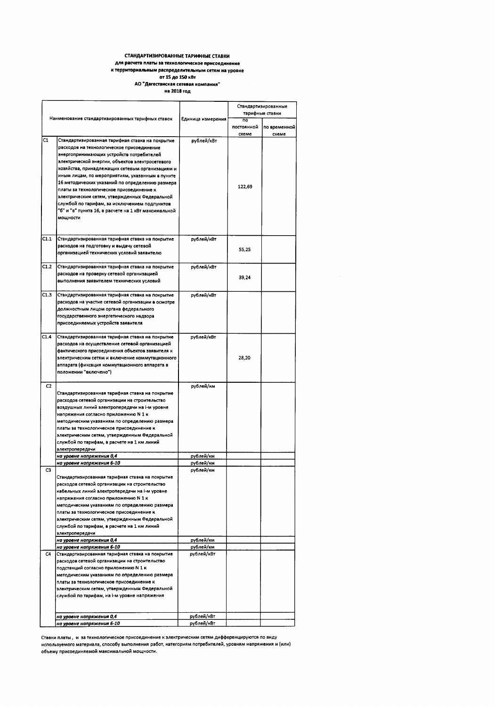#### СТАНДАРТИЗИРОВАННЫЕ ТАРИФНЫЕ СТАВКИ для расчета платы за технологическое присоединение к территориальным распределительным сетям на уровне от 15 до 150 кВт

АО "Дагестанская сетевая компания"

на 2018 год

|      |                                                                                                                                                                                                                                                                                                                                                                                                                                                                                                                                                                        |                                     |                                       | Стандартизированные<br>тарифные ставки |  |  |
|------|------------------------------------------------------------------------------------------------------------------------------------------------------------------------------------------------------------------------------------------------------------------------------------------------------------------------------------------------------------------------------------------------------------------------------------------------------------------------------------------------------------------------------------------------------------------------|-------------------------------------|---------------------------------------|----------------------------------------|--|--|
|      | Наименование стандартизированных тарифных ставок                                                                                                                                                                                                                                                                                                                                                                                                                                                                                                                       | Единица измерения                   | $\overline{p}$<br>постоянной<br>схеме | по временной<br>схеме                  |  |  |
| C1   | Стандартизированная тарифная ставка на покрытие<br>расходов на технологическое присоединение<br>энергопринимающих устройств потребителей<br>электрической энергии, объектов электросетевого<br>хозяйства, принадлежащих сетевым организациям и<br>иным лицам, по мероприятиям, указанным в пункте<br>16 методических указаний по определению размера<br>платы за технологическое присоединение к<br>электрическим сетям, утвержденных Федеральной<br>службой по тарифам, за исключением подпунктов<br>"б" и "в" пункта 16, в расчете на 1 кВт максимальной<br>мощности | рублей/кВт                          | 122,69                                |                                        |  |  |
| C1.1 | Стандартизированная тарифная ставка на покрытие<br>расходов на подготовку и выдачу сетевой<br>организацией технических условий заявителю                                                                                                                                                                                                                                                                                                                                                                                                                               | рублей/кВт                          | 55,25                                 |                                        |  |  |
| C1.2 | Стандартизированная тарифная ставка на покрытие<br>расходов на проверку сетевой организацией<br>выполнения заявителем технических условий                                                                                                                                                                                                                                                                                                                                                                                                                              | рублей/кВт                          | 39,24                                 |                                        |  |  |
| C1.3 | Стандартизированная тарифная ставка на покрытие<br>расходов на участие сетевой организации в осмотре<br>должностным лицом органа федерального<br>государственного энергетического надзора<br>присоединяемых устройств заявителя                                                                                                                                                                                                                                                                                                                                        | рублей/кВт                          |                                       |                                        |  |  |
| C1.4 | Стандартизированная тарифная ставка на покрытие<br>расходов на осуществление сетевой организацией<br>фактического присоединения объектов заявителя к<br>электрическим сетям и включение коммутационного<br>аппарата (фиксация коммутационного аппарата в<br>положении "включено")                                                                                                                                                                                                                                                                                      | рублей/кВт                          | 28,20                                 |                                        |  |  |
| C2   | Стандартизированная тарифная ставка на покрытие<br>расходов сетевой организации на строительство<br>воздушных линий электропередачи на i-м уровне<br>напряжения согласно приложению N 1 к<br>методическим указаниям по определению размера<br>платы за технологическое присоединение к<br>электрическим сетям, утвержденным Федеральной<br>службой по тарифам, в расчете на 1 км линий<br>электропередачи<br>на уровне напряжения 0,4<br>на уровне напряжения 6-10                                                                                                     | рублей/км<br>рублей/км<br>рублей/км |                                       |                                        |  |  |
| C3   | Стандартизированная тарифная ставка на покрытие<br>расходов сетевой организации на строительство<br>кабельных линий электропередачи на i-м уровне<br>напряжения согласно приложению N 1 к<br>методическим указаниям по определению размера<br>платы за технологическое присоединение к<br>электрическим сетям, утвержденным Федеральной<br>службой по тарифам, в расчете на 1 км линий<br>электропередачи<br>на уровне напряжения 0,4<br>на уровне напряжения 6-10                                                                                                     | рублей/км<br>рублей/км<br>рублей/км |                                       |                                        |  |  |
| C4   | Стандартизированная тарифная ставка на покрытие<br>расходов сетевой организации на строительство<br>подстанций согласно приложению N 1 к<br>методическим указаниям по определению размера<br>платы за технологическое присоединение к<br>электрическим сетям, утвержденным Федеральной<br>службой по тарифам, на і-м уровне напряжения                                                                                                                                                                                                                                 | рублей/кВт                          |                                       |                                        |  |  |
|      | на уровне напряжения 0,4<br>на уровне напряжения 6-10                                                                                                                                                                                                                                                                                                                                                                                                                                                                                                                  | рублей/кВт<br>рублей/кВт            |                                       |                                        |  |  |

Ставки платы, и за технологическое присоединение к электрическим сетям дифференцируются по виду используемого материала, способу выполнения работ, категориям потребителей, уровням напряжения и (или) объему присоединяемой максимальной мощности.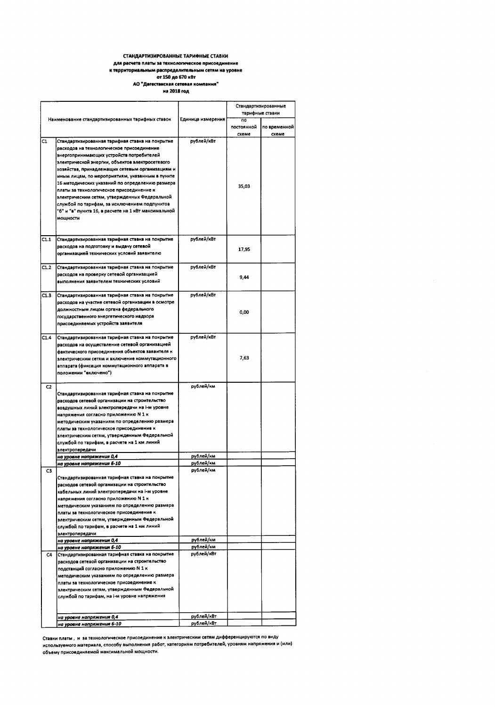#### СТАНДАРТИЗИРОВАННЫЕ ТАРИФНЫЕ СТАВКИ для расчета платы за технологическое присоедине us к территориальным распределительным сетям на уровне

## от 150 до 670 кВт до стали до стали.<br>АО "Дагестанская сетевая компания"<br>на 2018 год

|      |                                                                                                                                          |                         | Стандартизированные<br>тарифные ставки |              |  |
|------|------------------------------------------------------------------------------------------------------------------------------------------|-------------------------|----------------------------------------|--------------|--|
|      | Наименование стандартизированных тарифных ставок                                                                                         | Единица измерения       | $\overline{10}$                        |              |  |
|      |                                                                                                                                          |                         | постоянной                             | по временной |  |
|      |                                                                                                                                          |                         | схеме                                  | схеме        |  |
| C1   | Стандартизированная тарифная ставка на покрытие<br>расходов на технологическое присоединение<br>энергопринимающих устройств потребителей | рублей/кВт              |                                        |              |  |
|      | электрической энергии, объектов электросетевого                                                                                          |                         |                                        |              |  |
|      | хозяйства, принадлежащих сетевым организациям и<br>иным лицам, по мероприятиям, указанным в пункте                                       |                         |                                        |              |  |
|      | 16 методических указаний по определению размера                                                                                          |                         | 35.03                                  |              |  |
|      | платы за технологическое присоединение к                                                                                                 |                         |                                        |              |  |
|      | электрическим сетям, утвержденных Федеральной                                                                                            |                         |                                        |              |  |
|      | службой по тарифам, за исключением подпунктов<br>"б" и "в" пункта 16, в расчете на 1 кВт максимальной                                    |                         |                                        |              |  |
|      | мощности                                                                                                                                 |                         |                                        |              |  |
|      |                                                                                                                                          |                         |                                        |              |  |
| C1.1 | Стандартизированная тарифная ставка на покрытие                                                                                          | рублей/кВт              |                                        |              |  |
|      | расходов на подготовку и выдачу сетевой                                                                                                  |                         |                                        |              |  |
|      | организацией технических условий заявителю                                                                                               |                         | 17,95                                  |              |  |
|      |                                                                                                                                          |                         |                                        |              |  |
| C1.2 | Стандартизированная тарифная ставка на покрытие<br>расходов на проверку сетевой организацией                                             | рублей/кВт              |                                        |              |  |
|      | выполнения заявителем технических условий                                                                                                |                         | 9,44                                   |              |  |
|      |                                                                                                                                          |                         |                                        |              |  |
| C1.3 | Стандартизированная тарифная ставка на покрытие<br>расходов на участие сетевой организации в осмотре                                     | рублей/кВт              |                                        |              |  |
|      | должностным лицом органа федерального                                                                                                    |                         |                                        |              |  |
|      | государственного энергетического надзора                                                                                                 |                         | 0,00                                   |              |  |
|      | присоединяемых устройств заявителя                                                                                                       |                         |                                        |              |  |
| C1.4 | Стандартизированная тарифная ставка на покрытие                                                                                          | рублей/кВт              |                                        |              |  |
|      | расходов на осуществление сетевой организацией                                                                                           |                         |                                        |              |  |
|      | фактического присоединения объектов заявителя к                                                                                          |                         |                                        |              |  |
|      | электрическим сетям и включение коммутационного                                                                                          |                         | 7,63                                   |              |  |
|      | аппарата (фиксация коммутационного аппарата в<br>положении "включено")                                                                   |                         |                                        |              |  |
|      |                                                                                                                                          |                         |                                        |              |  |
| C2   | Стандартизированная тарифная ставка на покрытие                                                                                          | рублей/км               |                                        |              |  |
|      | расходов сетевой организации на строительство                                                                                            |                         |                                        |              |  |
|      | воздушных линий электропередачи на i-м уровне                                                                                            |                         |                                        |              |  |
|      | напряжения согласно приложению N 1 к                                                                                                     |                         |                                        |              |  |
|      | методическим указаниям по определению размера<br>платы за технологическое присоединение к                                                |                         |                                        |              |  |
|      | электрическим сетям, утвержденным Федеральной                                                                                            |                         |                                        |              |  |
|      | службой по тарифам, в расчете на 1 км линий                                                                                              |                         |                                        |              |  |
|      | электропередачи                                                                                                                          |                         |                                        |              |  |
|      | на уровне напряжения 0,4<br>на уровне напряжения 6-10                                                                                    | рублей/км<br>рублей/км  |                                        |              |  |
| C3   |                                                                                                                                          | рублей/км               |                                        |              |  |
|      | Стандартизированная тарифная ставка на покрытие                                                                                          |                         |                                        |              |  |
|      | расходов сетевой организации на строительство                                                                                            |                         |                                        |              |  |
|      | кабельных линий электропередачи на i-м уровне<br>напряжения согласно приложению N 1 к                                                    |                         |                                        |              |  |
|      | методическим указаниям по определению размера                                                                                            |                         |                                        |              |  |
|      | платы за технологическое присоединение к                                                                                                 |                         |                                        |              |  |
|      | электрическим сетям, утвержденным Федеральной<br>службой по тарифам, в расчете на 1 км линий                                             |                         |                                        |              |  |
|      | электропередачи                                                                                                                          |                         |                                        |              |  |
|      | на уровне напряжения 0,4                                                                                                                 | рублей/км               |                                        |              |  |
| C4   | на уровне напряжения 6-10<br>Стандартизированная тарифная ставка на покрытие                                                             | рублей/км<br>рублей/кВт |                                        |              |  |
|      | расходов сетевой организации на строительство                                                                                            |                         |                                        |              |  |
|      | подстанций согласно приложению N 1 к                                                                                                     |                         |                                        |              |  |
|      | методическим указаниям по определению размера                                                                                            |                         |                                        |              |  |
|      | платы за технологическое присоединение к<br>электрическим сетям, утвержденным Федеральной                                                |                         |                                        |              |  |
|      | службой по тарифам, на і-м уровне напряжения                                                                                             |                         |                                        |              |  |
|      |                                                                                                                                          |                         |                                        |              |  |
|      | на уровне напряжения 0,4                                                                                                                 | рублей/кВт              |                                        |              |  |
|      | на уровне напряжения 6-10                                                                                                                | рублей/кВт              |                                        |              |  |

Ставки платы, и за технологическое присоединение к электрическим сетям дифференцируются по виду используемого материала, способу выполнения работ, категориям потребителей, уровням напряжения и (или) объему присоединяемой максимальной мощности.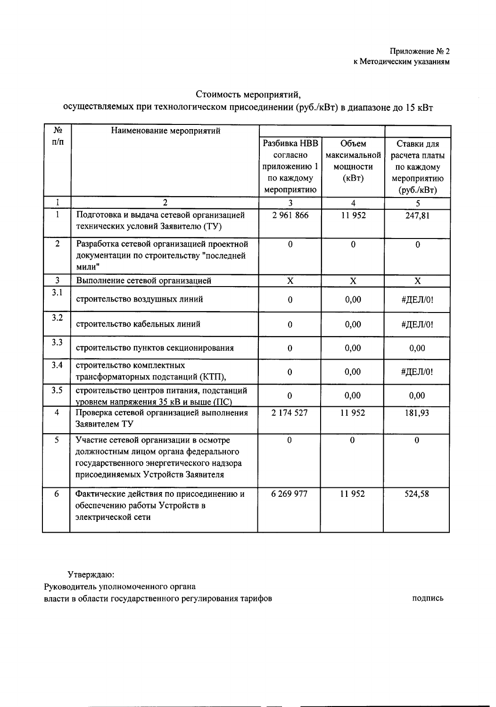## Стоимость мероприятий,

# осуществляемых при технологическом присоединении (руб./кВт) в диапазоне до 15 кВт

| N <sub>2</sub> | Наименование мероприятий                                                                                                                                         |                |                |                         |
|----------------|------------------------------------------------------------------------------------------------------------------------------------------------------------------|----------------|----------------|-------------------------|
| $\Pi/\Pi$      |                                                                                                                                                                  | Разбивка НВВ   | Объем          | Ставки для              |
|                |                                                                                                                                                                  | согласно       | максимальной   | расчета платы           |
|                |                                                                                                                                                                  | приложению 1   | мощности       | по каждому              |
|                |                                                                                                                                                                  | по каждому     | (KBT)          | мероприятию             |
|                |                                                                                                                                                                  | мероприятию    |                | $(py6./\kappa B)$       |
| 1              | $\overline{2}$                                                                                                                                                   | 3              | $\overline{4}$ | 5                       |
| $\mathbf{1}$   | Подготовка и выдача сетевой организацией<br>технических условий Заявителю (ТУ)                                                                                   | 2 961 866      | 11952          | 247,81                  |
| $\overline{2}$ | Разработка сетевой организацией проектной<br>документации по строительству "последней<br>мили"                                                                   | $\mathbf{0}$   | $\bf{0}$       | $\mathbf{0}$            |
| $\overline{3}$ | Выполнение сетевой организацией                                                                                                                                  | X              | $\mathbf{X}$   | $\overline{\mathbf{x}}$ |
| 3.1            | строительство воздушных линий                                                                                                                                    | $\bf{0}$       | 0,00           | #ДЕЛ/0!                 |
| 3.2            | строительство кабельных линий                                                                                                                                    | $\bf{0}$       | 0,00           | #ДЕЛ/0!                 |
| 3.3            | строительство пунктов секционирования                                                                                                                            | $\mathbf{0}$   | 0,00           | 0,00                    |
| 3.4            | строительство комплектных<br>трансформаторных подстанций (КТП),                                                                                                  | $\bf{0}$       | 0,00           | #ДЕЛ/0!                 |
| 3.5            | строительство центров питания, подстанций<br>уровнем напряжения 35 кВ и выше (ПС)                                                                                | $\overline{0}$ | 0,00           | 0,00                    |
| 4              | Проверка сетевой организацией выполнения<br>Заявителем ТУ                                                                                                        | 2 174 527      | 11952          | 181,93                  |
| 5              | Участие сетевой организации в осмотре<br>должностным лицом органа федерального<br>государственного энергетического надзора<br>присоединяемых Устройств Заявителя | $\mathbf 0$    | $\mathbf{0}$   | $\mathbf{0}$            |
| 6              | Фактические действия по присоединению и<br>обеспечению работы Устройств в<br>электрической сети                                                                  | 6 269 977      | 11952          | 524,58                  |

Утверждаю:

Руководитель уполномоченного органа власти в области государственного регулирования тарифов

подпись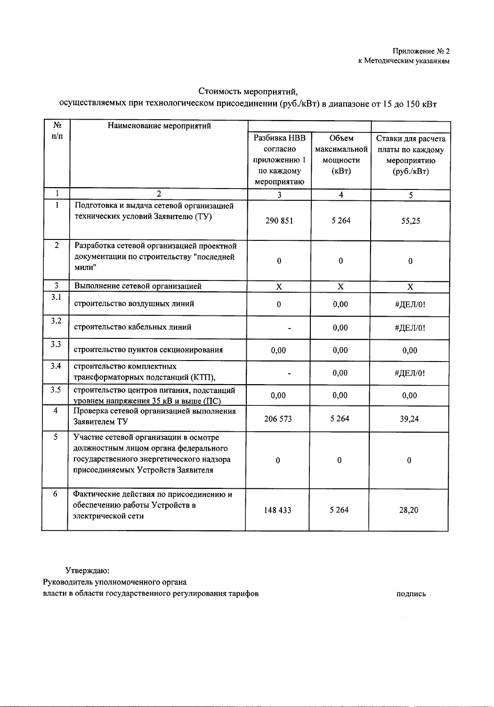### Стоимость мероприятий,

# осуществляемых при технологическом присоединении (руб./кВт) в диапазоне от 15 до 150 кВт

| N <sub>2</sub> | Наименование мероприятий                                                                                                                                         |              |                |                       |
|----------------|------------------------------------------------------------------------------------------------------------------------------------------------------------------|--------------|----------------|-----------------------|
| $\Pi/\Pi$      |                                                                                                                                                                  | Разбивка НВВ | Объем          | Ставки для расчета    |
|                |                                                                                                                                                                  | согласно     | максимальной   | платы по каждому      |
|                |                                                                                                                                                                  | приложению 1 | мощности       | мероприятию           |
|                |                                                                                                                                                                  | по каждому   | (KBT)          | $(py6./\kappa B\tau)$ |
|                |                                                                                                                                                                  | мероприятию  |                |                       |
| $\mathbf{1}$   | $\overline{\mathcal{L}}$                                                                                                                                         | 3            | $\overline{4}$ | $\overline{5}$        |
| $\mathbf{1}$   | Подготовка и выдача сетевой организацией<br>технических условий Заявителю (ТУ)                                                                                   | 290 851      | 5 2 6 4        | 55,25                 |
| $\overline{2}$ | Разработка сетевой организацией проектной<br>документации по строительству "последней<br>мили"                                                                   | $\bf{0}$     | $\bf{0}$       | $\bf{0}$              |
| $\mathbf{3}$   | Выполнение сетевой организацией                                                                                                                                  | $\mathbf X$  | $\mathbf X$    | $\mathbf X$           |
| 3.1            | строительство воздушных линий                                                                                                                                    | $\mathbf{0}$ | 0,00           | #ДЕЛ/0!               |
| 3.2            | строительство кабельных линий                                                                                                                                    |              | 0,00           | #ДЕЛ/0!               |
| 3.3            | строительство пунктов секционирования                                                                                                                            | 0,00         | 0,00           | 0,00                  |
| 3.4            | строительство комплектных<br>трансформаторных подстанций (КТП),                                                                                                  |              | 0,00           | #ДЕЛ/0!               |
| 3.5            | строительство центров питания, подстанций<br>уровнем напряжения 35 кВ и выше (ПС)                                                                                | 0,00         | 0,00           | 0,00                  |
| 4              | Проверка сетевой организацией выполнения<br>Заявителем ТУ                                                                                                        | 206 573      | 5 2 6 4        | 39,24                 |
| 5              | Участие сетевой организации в осмотре<br>должностным лицом органа федерального<br>государственного энергетического надзора<br>присоединяемых Устройств Заявителя | 0            | $\pmb{0}$      | $\bf{0}$              |
| 6              | Фактические действия по присоединению и<br>обеспечению работы Устройств в<br>электрической сети                                                                  | 148 433      | 5 2 6 4        | 28,20                 |

Утверждаю:

Руководитель уполномоченного органа власти в области государственного регулирования тарифов

подпись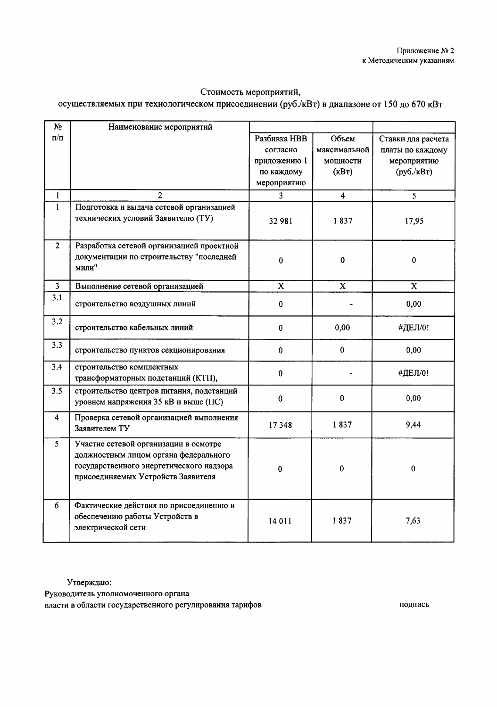## Стоимость мероприятий,

# осуществляемых при технологическом присоединении (руб./кВт) в диапазоне от 150 до 670 кВт

| N <sub>2</sub> | Наименование мероприятий                                        |              |                         |                    |
|----------------|-----------------------------------------------------------------|--------------|-------------------------|--------------------|
| $\Pi/\Pi$      |                                                                 | Разбивка НВВ | Объем                   | Ставки для расчета |
|                |                                                                 | согласно     | максимальной            | платы по каждому   |
|                |                                                                 | приложению 1 | мощности                | мероприятию        |
|                |                                                                 | по каждому   | (kB <sub>T</sub> )      | $(py6./\kappa BT)$ |
|                |                                                                 | мероприятию  |                         |                    |
| 1              | 2                                                               | 3            | $\overline{\mathbf{4}}$ | 5                  |
| $\mathbf{1}$   | Подготовка и выдача сетевой организацией                        |              |                         |                    |
|                | технических условий Заявителю (ТУ)                              | 32 981       | 1837                    | 17,95              |
| $\overline{2}$ | Разработка сетевой организацией проектной                       |              |                         |                    |
|                | документации по строительству "последней                        | $\bf{0}$     | $\mathbf 0$             | $\Omega$           |
|                | мили"                                                           |              |                         |                    |
| $\overline{3}$ | Выполнение сетевой организацией                                 | $\mathbf x$  | $\mathbf x$             | $\mathbf X$        |
| 3.1            |                                                                 |              |                         |                    |
|                | строительство воздушных линий                                   | $\bf{0}$     |                         | 0,00               |
| 3.2            |                                                                 |              |                         |                    |
|                | строительство кабельных линий                                   | $\mathbf{0}$ | 0,00                    | #ДЕЛ/0!            |
| 3.3            | строительство пунктов секционирования                           | $\bf{0}$     | $\bf{0}$                | 0,00               |
| 3.4            | строительство комплектных<br>трансформаторных подстанций (КТП), | $\bf{0}$     |                         | #ДЕЛ/0!            |
| 3.5            | строительство центров питания, подстанций                       |              |                         |                    |
|                | уровнем напряжения 35 кВ и выше (ПС)                            | $\bf{0}$     | $\bf{0}$                | 0,00               |
| 4              | Проверка сетевой организацией выполнения                        |              |                         |                    |
|                | Заявителем ТУ                                                   | 17348        | 1837                    | 9,44               |
| $\mathfrak{S}$ | Участие сетевой организации в осмотре                           |              |                         |                    |
|                | должностным лицом органа федерального                           |              |                         |                    |
|                | государственного энергетического надзора                        | 0            | $\pmb{0}$               | 0                  |
|                | присоединяемых Устройств Заявителя                              |              |                         |                    |
|                |                                                                 |              |                         |                    |
| 6              | Фактические действия по присоединению и                         |              |                         |                    |
|                | обеспечению работы Устройств в                                  | 14 011       | 1837                    | 7,63               |
|                | электрической сети                                              |              |                         |                    |
|                |                                                                 |              |                         |                    |

Утверждаю:

Руководитель уполномоченного органа

власти в области государственного регулирования тарифов

подпись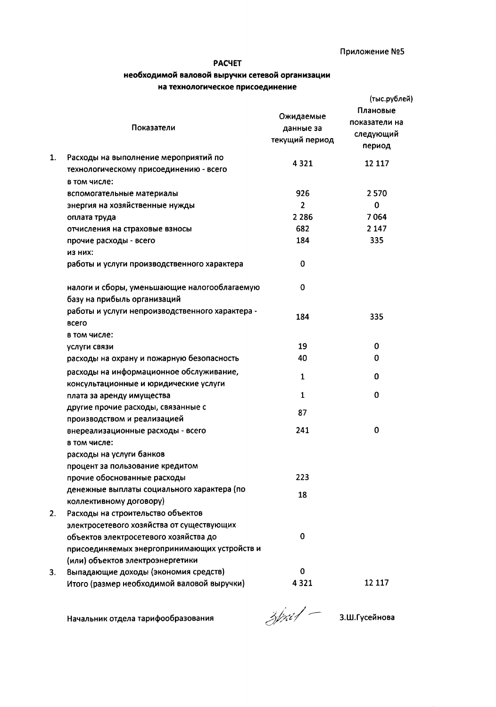## **PACYET**

### необходимой валовой выручки сетевой организации на технологическое присоединение

|    | Показатели                                                                       | Ожидаемые<br>данные за<br>текущий период | (тыс.рублей)<br>Плановые<br>показатели на<br>следующий<br>период |
|----|----------------------------------------------------------------------------------|------------------------------------------|------------------------------------------------------------------|
| 1. | Расходы на выполнение мероприятий по<br>технологическому присоединению - всего   | 4321                                     | 12 117                                                           |
|    | в том числе:                                                                     |                                          |                                                                  |
|    | вспомогательные материалы                                                        | 926                                      | 2570                                                             |
|    | энергия на хозяйственные нужды                                                   | $\overline{2}$                           | 0                                                                |
|    | оплата труда                                                                     | 2 2 8 6                                  | 7064                                                             |
|    | отчисления на страховые взносы                                                   | 682                                      | 2 1 4 7                                                          |
|    | прочие расходы - всего<br>из них:                                                | 184                                      | 335                                                              |
|    | работы и услуги производственного характера                                      | 0                                        |                                                                  |
|    | налоги и сборы, уменьшающие налогооблагаемую<br>базу на прибыль организаций      | 0                                        |                                                                  |
|    | работы и услуги непроизводственного характера -<br>всего                         | 184                                      | 335                                                              |
|    | в том числе:                                                                     |                                          |                                                                  |
|    | услуги связи                                                                     | 19                                       | 0                                                                |
|    | расходы на охрану и пожарную безопасность                                        | 40                                       | 0                                                                |
|    | расходы на информационное обслуживание,                                          | 1                                        | 0                                                                |
|    | консультационные и юридические услуги                                            |                                          |                                                                  |
|    | плата за аренду имущества                                                        | 1                                        | 0                                                                |
|    | другие прочие расходы, связанные с<br>производством и реализацией                | 87                                       |                                                                  |
|    | внереализационные расходы - всего<br>в том числе:                                | 241                                      | 0                                                                |
|    | расходы на услуги банков<br>процент за пользование кредитом                      |                                          |                                                                  |
|    | прочие обоснованные расходы                                                      | 223                                      |                                                                  |
|    | денежные выплаты социального характера (по<br>коллективному договору)            | 18                                       |                                                                  |
| 2. | Расходы на строительство объектов<br>электросетевого хозяйства от существующих   |                                          |                                                                  |
|    | объектов электросетевого хозяйства до                                            | 0                                        |                                                                  |
|    | присоединяемых энергопринимающих устройств и<br>(или) объектов электроэнергетики |                                          |                                                                  |
| 3. | Выпадающие доходы (экономия средств)                                             | 0                                        |                                                                  |
|    | Итого (размер необходимой валовой выручки)                                       | 4321                                     | 12 117                                                           |

Начальник отдела тарифообразования

 $\frac{1}{2}$ / $\frac{1}{2}$  3.Ш.Гусейнова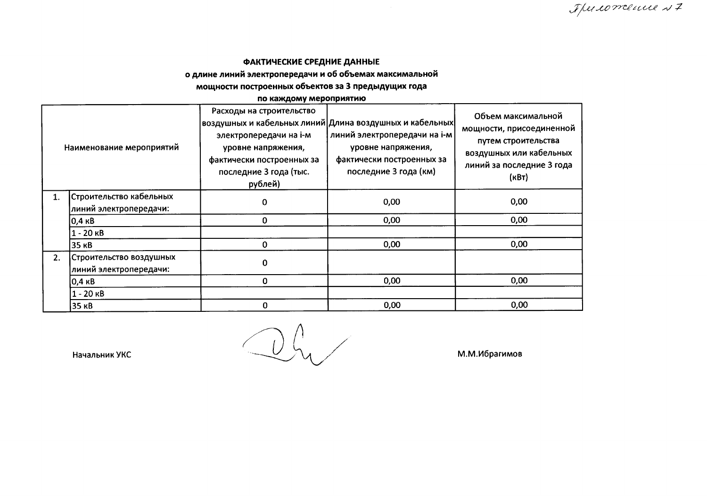# ФАКТИЧЕСКИЕ СРЕДНИЕ ДАННЫЕ о длине линий электропередачи и об объемах максимальной

## мощности построенных объектов за 3 предыдущих года

#### по каждому мероприятию

| Наименование мероприятий |                                                   | Расходы на строительство<br>электропередачи на і-м<br>уровне напряжения,<br>фактически построенных за<br>последние 3 года (тыс.<br>рублей) | воздушных и кабельных линий Длина воздушных и кабельных <br>линий электропередачи на і-м<br>уровне напряжения,<br>фактически построенных за<br>последние 3 года (км) | Объем максимальной<br>мощности, присоединенной<br>путем строительства<br>воздушных или кабельных<br>линий за последние 3 года<br>(KBT) |  |
|--------------------------|---------------------------------------------------|--------------------------------------------------------------------------------------------------------------------------------------------|----------------------------------------------------------------------------------------------------------------------------------------------------------------------|----------------------------------------------------------------------------------------------------------------------------------------|--|
|                          | Строительство кабельных<br>линий электропередачи: | 0                                                                                                                                          | 0,00                                                                                                                                                                 | 0,00                                                                                                                                   |  |
|                          | <b>0,4 кВ</b>                                     | 0                                                                                                                                          | 0,00                                                                                                                                                                 | 0,00                                                                                                                                   |  |
|                          | $1 - 20$ $kB$                                     |                                                                                                                                            |                                                                                                                                                                      |                                                                                                                                        |  |
|                          | 35 KB                                             | $\Omega$                                                                                                                                   | 0,00                                                                                                                                                                 | 0,00                                                                                                                                   |  |
| 2.                       | Строительство воздушных<br>линий электропередачи: | $\Omega$                                                                                                                                   |                                                                                                                                                                      |                                                                                                                                        |  |
|                          | 0,4 кВ                                            | $\mathbf 0$                                                                                                                                | 0,00                                                                                                                                                                 | 0,00                                                                                                                                   |  |
|                          | $1 - 20$ $\kappa$ B                               |                                                                                                                                            |                                                                                                                                                                      |                                                                                                                                        |  |
|                          | 35 <sub>KB</sub>                                  | $\Omega$                                                                                                                                   | 0,00                                                                                                                                                                 | 0,00                                                                                                                                   |  |

 $Q_{\mathcal{H}}$ 

Начальник УКС

М.М.Ибрагимов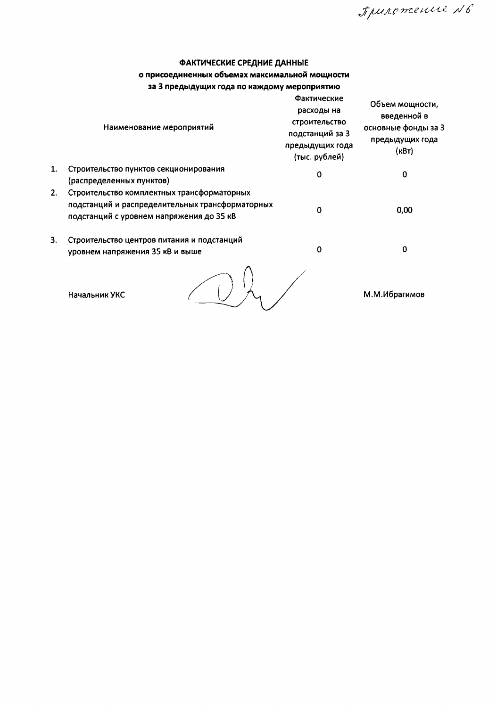Арильтение N6

# ФАКТИЧЕСКИЕ СРЕДНИЕ ДАННЫЕ

## о присоединенных объемах максимальной мощности

|  |  |  |  |  | за 3 предыдущих года по каждому мероприятию |
|--|--|--|--|--|---------------------------------------------|
|--|--|--|--|--|---------------------------------------------|

|    | Наименование мероприятий                                                                                                                  | Фактические<br>расходы на<br>строительство<br>подстанций за 3<br>предыдущих года<br>(тыс. рублей) | Объем мощности,<br>введенной в<br>основные фонды за 3<br>предыдущих года<br>(кВт) |
|----|-------------------------------------------------------------------------------------------------------------------------------------------|---------------------------------------------------------------------------------------------------|-----------------------------------------------------------------------------------|
| 1. | Строительство пунктов секционирования<br>(распределенных пунктов)                                                                         | 0                                                                                                 | 0                                                                                 |
| 2. | Строительство комплектных трансформаторных<br>подстанций и распределительных трансформаторных<br>подстанций с уровнем напряжения до 35 кВ | ი                                                                                                 | 0,00                                                                              |
| 3. | Строительство центров питания и подстанций<br>уровнем напряжения 35 кВ и выше                                                             | 0                                                                                                 | 0                                                                                 |
|    | Начальник УКС                                                                                                                             |                                                                                                   | М.М.Ибрагимов                                                                     |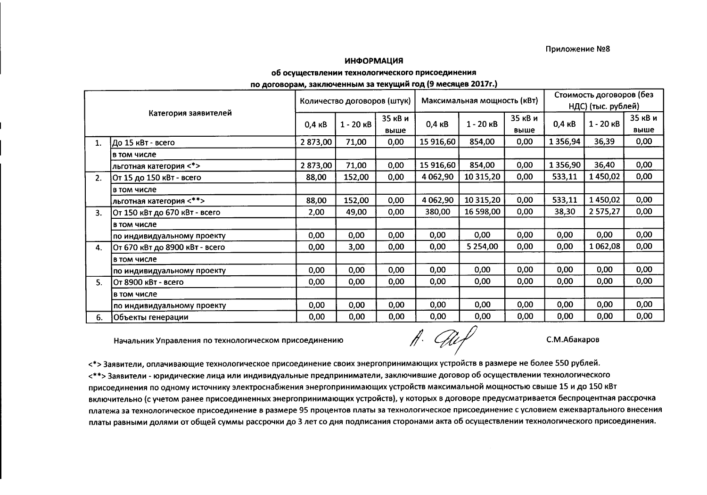#### Приложение №8

#### **ИНФОРМАЦИЯ**

#### об осуществлении технологического присоединения

по договорам, заключенным за текущий год (9 месяцев 2017г.)

|    |                                | Количество договоров (штук) |                     | Максимальная мощность (кВт) |                  |                     | Стоимость договоров (без |                  |                     |         |  |
|----|--------------------------------|-----------------------------|---------------------|-----------------------------|------------------|---------------------|--------------------------|------------------|---------------------|---------|--|
|    |                                |                             |                     |                             |                  |                     |                          |                  | НДС) (тыс. рублей)  |         |  |
|    | Категория заявителей           | $0,4$ $\kappa$ B            | $1 - 20$ $\kappa$ B | 35 кВ и                     | $0,4$ $\kappa$ B | $1 - 20$ $\kappa$ B | 35 кВ и                  | $0,4$ $\kappa$ B | $1 - 20$ $\kappa$ B | 35 кВ и |  |
|    |                                |                             |                     | выше                        |                  |                     | выше                     |                  |                     | выше    |  |
| 1. | До 15 кВт - всего              | 2873,00                     | 71,00               | 0,00                        | 15 916,60        | 854,00              | 0,00                     | 1 3 5 6 , 9 4    | 36,39               | 0,00    |  |
|    | в том числе                    |                             |                     |                             |                  |                     |                          |                  |                     |         |  |
|    | льготная категория <*>         | 2873,00                     | 71,00               | 0,00                        | 15 916,60        | 854,00              | 0,00                     | 1 3 5 6,90       | 36,40               | 0,00    |  |
| 2. | 0т 15 до 150 кВт - всего       | 88,00                       | 152,00              | 0,00                        | 4 062,90         | 10 315,20           | 0,00                     | 533,11           | 1450,02             | 0,00    |  |
|    | в том числе                    |                             |                     |                             |                  |                     |                          |                  |                     |         |  |
|    | льготная категория <**>        | 88,00                       | 152,00              | 0,00                        | 4 062,90         | 10 315,20           | 0,00                     | 533,11           | 1450,02             | 0,00    |  |
| 3. | От 150 кВт до 670 кВт - всего  | 2,00                        | 49,00               | 0,00                        | 380,00           | 16 598,00           | 0,00                     | 38,30            | 2 575,27            | 0,00    |  |
|    | в том числе                    |                             |                     |                             |                  |                     |                          |                  |                     |         |  |
|    | по индивидуальному проекту     | 0,00                        | 0,00                | 0,00                        | 0,00             | 0,00                | 0,00                     | 0,00             | 0,00                | 0,00    |  |
| 4. | От 670 кВт до 8900 кВт - всего | 0,00                        | 3,00                | 0,00                        | 0,00             | 5 2 5 4 ,00         | 0,00                     | 0,00             | 1 0 6 2 , 0 8       | 0,00    |  |
|    | в том числе                    |                             |                     |                             |                  |                     |                          |                  |                     |         |  |
|    | по индивидуальному проекту     | 0,00                        | 0,00                | 0,00                        | 0,00             | 0,00                | 0,00                     | 0,00             | 0,00                | 0,00    |  |
| 5. | IOт 8900 кВт - всего           | 0,00                        | 0,00                | 0,00                        | 0,00             | 0,00                | 0,00                     | 0,00             | 0,00                | 0,00    |  |
|    | в том числе                    |                             |                     |                             |                  |                     |                          |                  |                     |         |  |
|    | по индивидуальному проекту     | 0,00                        | 0,00                | 0,00                        | 0,00             | 0,00                | 0,00                     | 0,00             | 0,00                | 0,00    |  |
| 6. | Объекты генерации              | 0,00                        | 0,00                | 0,00                        | 0,00             | 0,00                | 0,00                     | 0,00             | 0,00                | 0,00    |  |

Начальник Управления по технологическом присоединению

 $H.$  They

С.М.Абакаров

<\*>Заявители, оплачивающие технологическое присоединение своих энергопринимающих устройств в размере не более 550 рублей. <\*\*>Заявители - юридические лица или индивидуальные предприниматели, заключившие договор об осуществлении технологического присоединения по одному источнику электроснабжения энергопринимающих устройств максимальной мощностью свыше 15 и до 150 кВт включительно (с учетом ранее присоединенных энергопринимающих устройств), у которых в договоре предусматривается беспроцентная рассрочка платежа за технологическое присоединение в размере 95 процентов платы за технологическое присоединение с условием ежеквартального внесения платы равными долями от общей суммы рассрочки до 3 лет со дня подписания сторонами акта об осуществлении технологического присоединения.